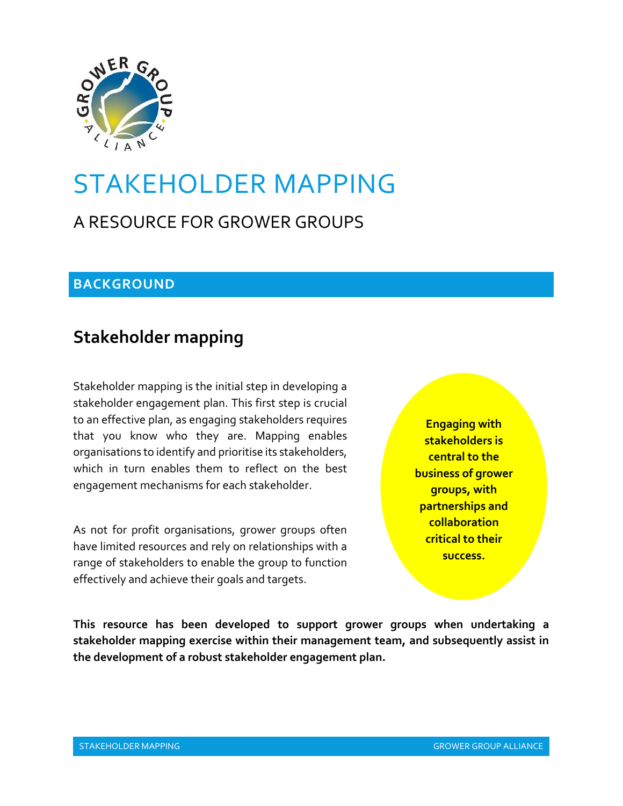

# STAKEHOLDER MAPPING

# A RESOURCE FOR GROWER GROUPS

### **BACKGROUND**

# **Stakeholder mapping**

Stakeholder mapping is the initial step in developing a stakeholder engagement plan. This first step is crucial to an effective plan, as engaging stakeholders requires that you know who they are. Mapping enables organisations to identify and prioritise its stakeholders, which in turn enables them to reflect on the best engagement mechanisms for each stakeholder.

As not for profit organisations, grower groups often have limited resources and rely on relationships with a range of stakeholders to enable the group to function effectively and achieve their goals and targets.

**Engaging with stakeholders is central to the business of grower groups, with partnerships and collaboration critical to their success.**

**This resource has been developed to support grower groups when undertaking a stakeholder mapping exercise within their management team, and subsequently assist in the development of a robust stakeholder engagement plan.**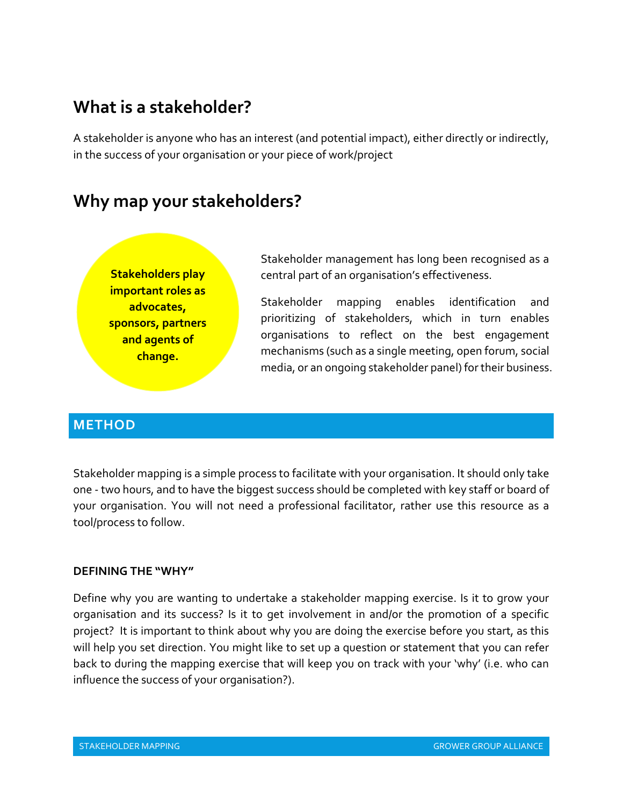# **What is a stakeholder?**

A stakeholder is anyone who has an interest (and potential impact), either directly or indirectly, in the success of your organisation or your piece of work/project

## **Why map your stakeholders?**



Stakeholder management has long been recognised as a central part of an organisation's effectiveness.

Stakeholder mapping enables identification and prioritizing of stakeholders, which in turn enables organisations to reflect on the best engagement mechanisms (such as a single meeting, open forum, social media, or an ongoing stakeholder panel) for their business.

#### **METHOD**

Stakeholder mapping is a simple process to facilitate with your organisation. It should only take one - two hours, and to have the biggest success should be completed with key staff or board of your organisation. You will not need a professional facilitator, rather use this resource as a tool/process to follow.

#### **DEFINING THE "WHY"**

Define why you are wanting to undertake a stakeholder mapping exercise. Is it to grow your organisation and its success? Is it to get involvement in and/or the promotion of a specific project? It is important to think about why you are doing the exercise before you start, as this will help you set direction. You might like to set up a question or statement that you can refer back to during the mapping exercise that will keep you on track with your 'why' (i.e. who can influence the success of your organisation?).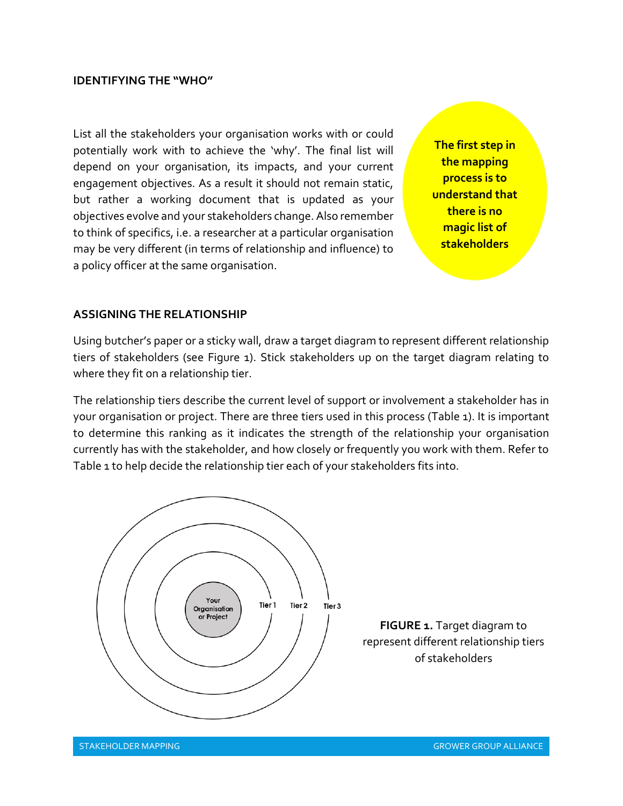#### **IDENTIFYING THE "WHO"**

List all the stakeholders your organisation works with or could potentially work with to achieve the 'why'. The final list will depend on your organisation, its impacts, and your current engagement objectives. As a result it should not remain static, but rather a working document that is updated as your objectives evolve and your stakeholders change. Also remember to think of specifics, i.e. a researcher at a particular organisation may be very different (in terms of relationship and influence) to a policy officer at the same organisation.

**The first step in the mapping process is to understand that there is no magic list of stakeholders**

#### **ASSIGNING THE RELATIONSHIP**

Using butcher's paper or a sticky wall, draw a target diagram to represent different relationship tiers of stakeholders (see Figure 1). Stick stakeholders up on the target diagram relating to where they fit on a relationship tier.

The relationship tiers describe the current level of support or involvement a stakeholder has in your organisation or project. There are three tiers used in this process (Table 1). It is important to determine this ranking as it indicates the strength of the relationship your organisation currently has with the stakeholder, and how closely or frequently you work with them. Refer to Table 1 to help decide the relationship tier each of your stakeholders fits into.

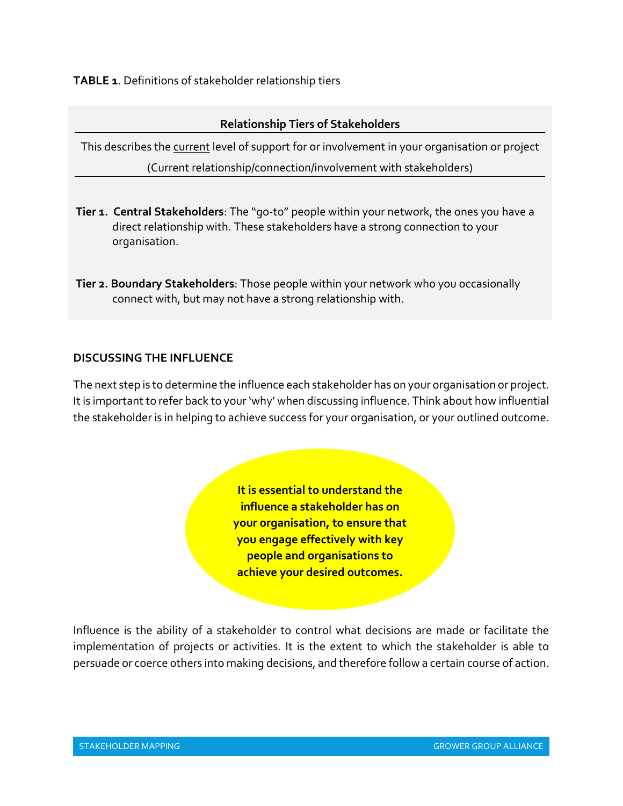**TABLE 1**. Definitions of stakeholder relationship tiers

#### **Relationship Tiers of Stakeholders**

This describes the current level of support for or involvement in your organisation or project (Current relationship/connection/involvement with stakeholders)

- **Tier 1. Central Stakeholders**: The "go-to" people within your network, the ones you have a direct relationship with. These stakeholders have a strong connection to your organisation.
- **Tier 2. Boundary Stakeholders**: Those people within your network who you occasionally connect with, but may not have a strong relationship with.

### **DISCUSSING THE INFLUENCE**

The next step is to determine the influence each stakeholder has on your organisation or project. It is important to refer back to your 'why' when discussing influence. Think about how influential the stakeholder is in helping to achieve success for your organisation, or your outlined outcome.

> **It is essential to understand the influence a stakeholder has on your organisation, to ensure that you engage effectively with key people and organisations to achieve your desired outcomes.**

Influence is the ability of a stakeholder to control what decisions are made or facilitate the implementation of projects or activities. It is the extent to which the stakeholder is able to persuade or coerce others into making decisions, and therefore follow a certain course of action.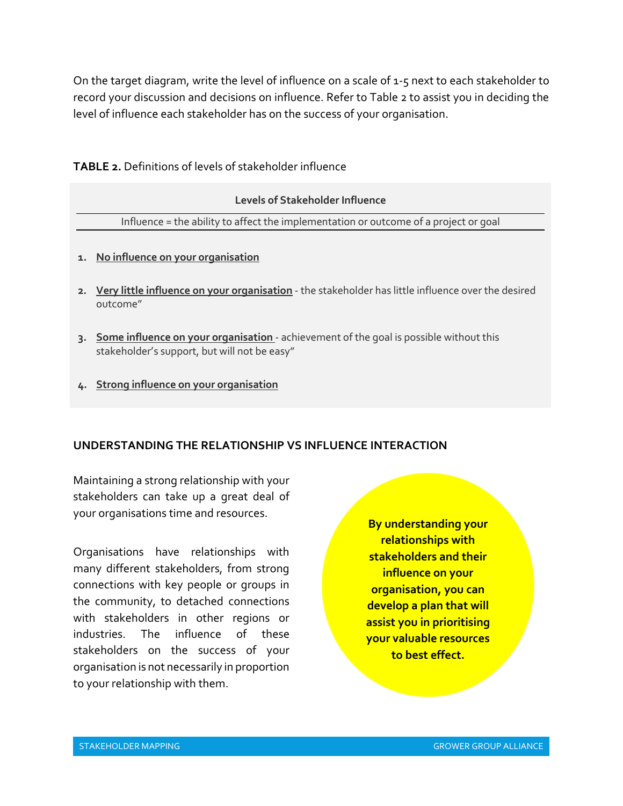On the target diagram, write the level of influence on a scale of 1-5 next to each stakeholder to record your discussion and decisions on influence. Refer to Table 2 to assist you in deciding the level of influence each stakeholder has on the success of your organisation.

#### **TABLE 2.** Definitions of levels of stakeholder influence

| Levels of Stakeholder Influence                                                      |  |  |
|--------------------------------------------------------------------------------------|--|--|
| Influence = the ability to affect the implementation or outcome of a project or goal |  |  |
|                                                                                      |  |  |
| 1. No influence on your organisation                                                 |  |  |

- **2. Very little influence on your organisation** the stakeholder has little influence over the desired outcome"
- **3. Some influence on your organisation** achievement of the goal is possible without this stakeholder's support, but will not be easy"
- **4. Strong influence on your organisation**

#### **UNDERSTANDING THE RELATIONSHIP VS INFLUENCE INTERACTION**

Maintaining a strong relationship with your stakeholders can take up a great deal of your organisations time and resources.

Organisations have relationships with many different stakeholders, from strong connections with key people or groups in the community, to detached connections with stakeholders in other regions or industries. The influence of these stakeholders on the success of your organisation is not necessarily in proportion to your relationship with them.

**By understanding your relationships with stakeholders and their influence on your organisation, you can develop a plan that will assist you in prioritising your valuable resources to best effect.**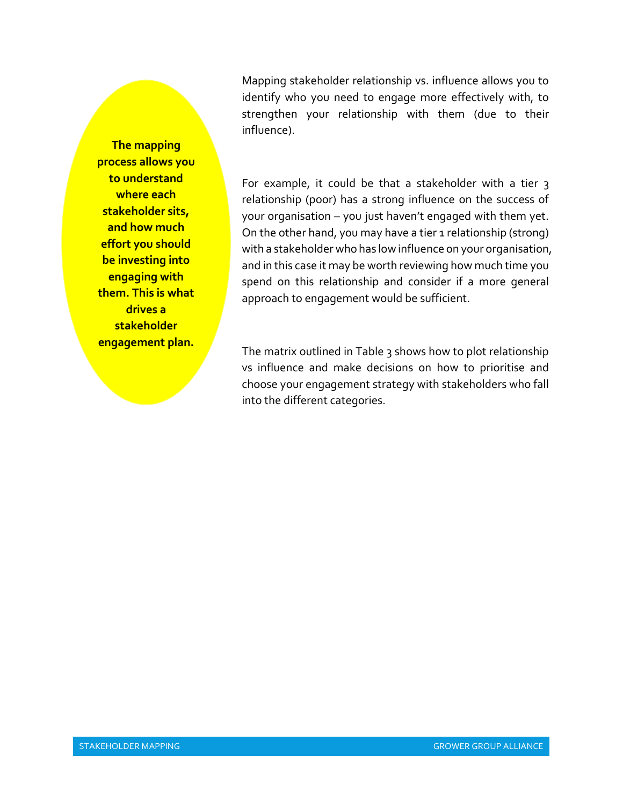**The mapping process allows you to understand where each stakeholder sits, and how much effort you should be investing into engaging with them. This is what drives a stakeholder engagement plan.**

Mapping stakeholder relationship vs. influence allows you to identify who you need to engage more effectively with, to strengthen your relationship with them (due to their influence).

For example, it could be that a stakeholder with a tier 3 relationship (poor) has a strong influence on the success of your organisation – you just haven't engaged with them yet. On the other hand, you may have a tier 1 relationship (strong) with a stakeholder who has low influence on your organisation, and in this case it may be worth reviewing how much time you spend on this relationship and consider if a more general approach to engagement would be sufficient.

The matrix outlined in Table 3 shows how to plot relationship vs influence and make decisions on how to prioritise and choose your engagement strategy with stakeholders who fall into the different categories.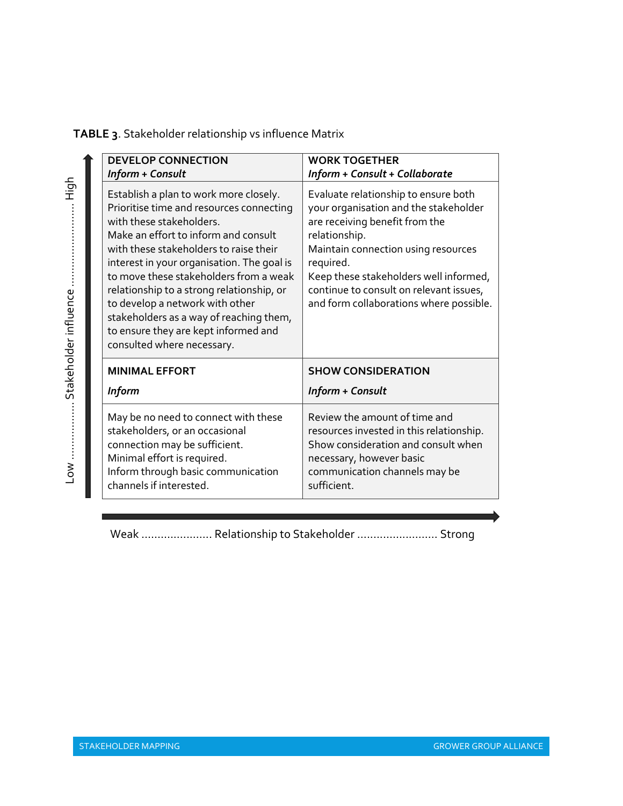|  | TABLE 3. Stakeholder relationship vs influence Matrix |  |  |  |
|--|-------------------------------------------------------|--|--|--|
|--|-------------------------------------------------------|--|--|--|

| <b>DEVELOP CONNECTION</b><br>Inform + Consult                                                                                                                                                                                                                                                                                                                                                                                                                                             | <b>WORK TOGETHER</b><br>Inform + Consult + Collaborate                                                                                                                                                                                                                                                               |
|-------------------------------------------------------------------------------------------------------------------------------------------------------------------------------------------------------------------------------------------------------------------------------------------------------------------------------------------------------------------------------------------------------------------------------------------------------------------------------------------|----------------------------------------------------------------------------------------------------------------------------------------------------------------------------------------------------------------------------------------------------------------------------------------------------------------------|
| Establish a plan to work more closely.<br>Prioritise time and resources connecting<br>with these stakeholders.<br>Make an effort to inform and consult<br>with these stakeholders to raise their<br>interest in your organisation. The goal is<br>to move these stakeholders from a weak<br>relationship to a strong relationship, or<br>to develop a network with other<br>stakeholders as a way of reaching them,<br>to ensure they are kept informed and<br>consulted where necessary. | Evaluate relationship to ensure both<br>your organisation and the stakeholder<br>are receiving benefit from the<br>relationship.<br>Maintain connection using resources<br>required.<br>Keep these stakeholders well informed,<br>continue to consult on relevant issues,<br>and form collaborations where possible. |
| <b>MINIMAL EFFORT</b>                                                                                                                                                                                                                                                                                                                                                                                                                                                                     | <b>SHOW CONSIDERATION</b>                                                                                                                                                                                                                                                                                            |
| <b>Inform</b>                                                                                                                                                                                                                                                                                                                                                                                                                                                                             | Inform + Consult                                                                                                                                                                                                                                                                                                     |
| May be no need to connect with these<br>stakeholders, or an occasional<br>connection may be sufficient.<br>Minimal effort is required.<br>Inform through basic communication<br>channels if interested.                                                                                                                                                                                                                                                                                   | Review the amount of time and<br>resources invested in this relationship.<br>Show consideration and consult when<br>necessary, however basic<br>communication channels may be<br>sufficient.                                                                                                                         |

Weak ………..….……. Relationship to Stakeholder ….....……..……… Strong